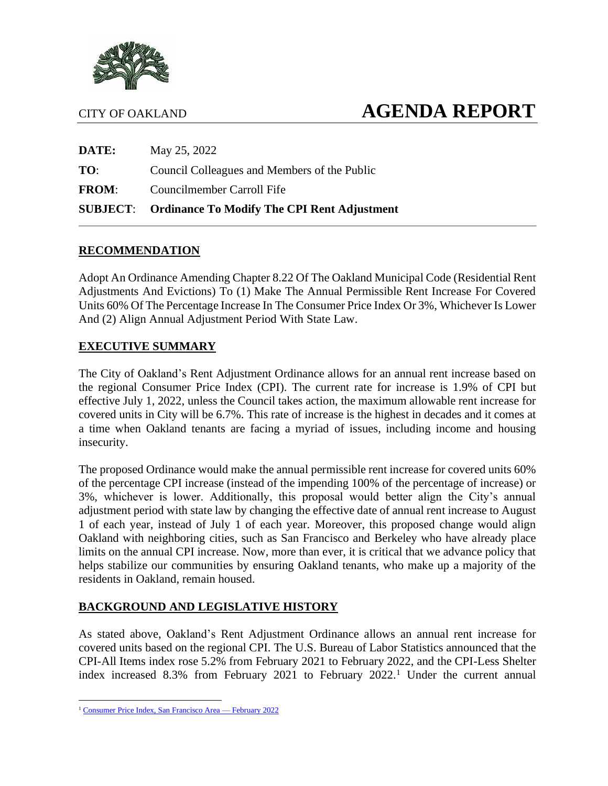

# CITY OF OAKLAND **AGENDA REPORT**

|              | <b>SUBJECT:</b> Ordinance To Modify The CPI Rent Adjustment |  |
|--------------|-------------------------------------------------------------|--|
| <b>FROM:</b> | Councilmember Carroll Fife                                  |  |
| TO:          | Council Colleagues and Members of the Public                |  |
| DATE:        | May 25, 2022                                                |  |

### **RECOMMENDATION**

Adopt An Ordinance Amending Chapter 8.22 Of The Oakland Municipal Code (Residential Rent Adjustments And Evictions) To (1) Make The Annual Permissible Rent Increase For Covered Units 60% Of The Percentage Increase In The Consumer Price Index Or 3%, Whichever Is Lower And (2) Align Annual Adjustment Period With State Law.

### **EXECUTIVE SUMMARY**

The City of Oakland's Rent Adjustment Ordinance allows for an annual rent increase based on the regional Consumer Price Index (CPI). The current rate for increase is 1.9% of CPI but effective July 1, 2022, unless the Council takes action, the maximum allowable rent increase for covered units in City will be 6.7%. This rate of increase is the highest in decades and it comes at a time when Oakland tenants are facing a myriad of issues, including income and housing insecurity.

The proposed Ordinance would make the annual permissible rent increase for covered units 60% of the percentage CPI increase (instead of the impending 100% of the percentage of increase) or 3%, whichever is lower. Additionally, this proposal would better align the City's annual adjustment period with state law by changing the effective date of annual rent increase to August 1 of each year, instead of July 1 of each year. Moreover, this proposed change would align Oakland with neighboring cities, such as San Francisco and Berkeley who have already place limits on the annual CPI increase. Now, more than ever, it is critical that we advance policy that helps stabilize our communities by ensuring Oakland tenants, who make up a majority of the residents in Oakland, remain housed.

### **BACKGROUND AND LEGISLATIVE HISTORY**

As stated above, Oakland's Rent Adjustment Ordinance allows an annual rent increase for covered units based on the regional CPI. The U.S. Bureau of Labor Statistics announced that the CPI-All Items index rose 5.2% from February 2021 to February 2022, and the CPI-Less Shelter index increased 8.3% from February 2021 to February 2022.<sup>1</sup> Under the current annual

<sup>&</sup>lt;sup>1</sup> [Consumer Price Index, San Francisco Area —](https://www.bls.gov/regions/west/news-release/2022/consumerpriceindex_sanfrancisco_20220310.htm) February 2022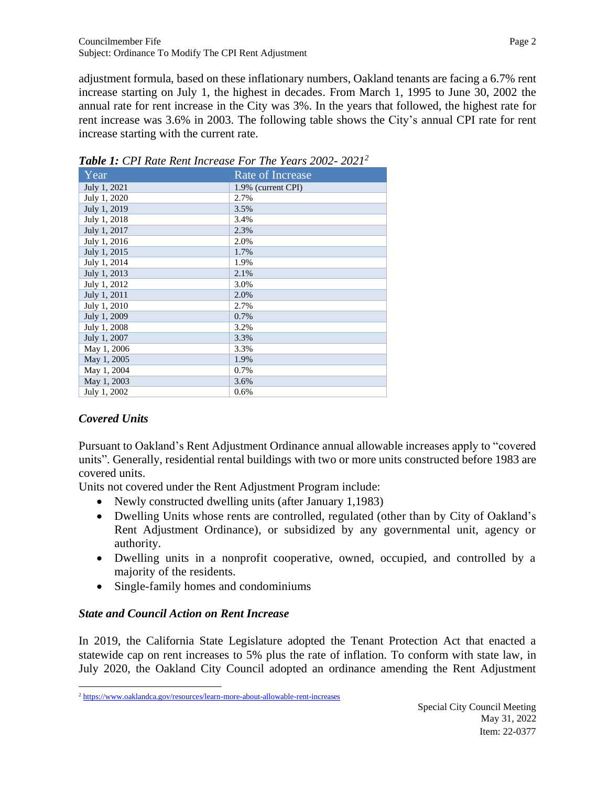adjustment formula, based on these inflationary numbers, Oakland tenants are facing a 6.7% rent increase starting on July 1, the highest in decades. From March 1, 1995 to June 30, 2002 the annual rate for rent increase in the City was 3%. In the years that followed, the highest rate for rent increase was 3.6% in 2003. The following table shows the City's annual CPI rate for rent increase starting with the current rate.

| Year         | <b>Rate of Increase</b> |
|--------------|-------------------------|
| July 1, 2021 | 1.9% (current CPI)      |
| July 1, 2020 | 2.7%                    |
| July 1, 2019 | 3.5%                    |
| July 1, 2018 | 3.4%                    |
| July 1, 2017 | 2.3%                    |
| July 1, 2016 | 2.0%                    |
| July 1, 2015 | 1.7%                    |
| July 1, 2014 | 1.9%                    |
| July 1, 2013 | 2.1%                    |
| July 1, 2012 | 3.0%                    |
| July 1, 2011 | 2.0%                    |
| July 1, 2010 | 2.7%                    |
| July 1, 2009 | 0.7%                    |
| July 1, 2008 | 3.2%                    |
| July 1, 2007 | 3.3%                    |
| May 1, 2006  | 3.3%                    |
| May 1, 2005  | 1.9%                    |
| May 1, 2004  | 0.7%                    |
| May 1, 2003  | 3.6%                    |
| July 1, 2002 | 0.6%                    |

*Table 1: CPI Rate Rent Increase For The Years 2002- 2021<sup>2</sup>*

# *Covered Units*

Pursuant to Oakland's Rent Adjustment Ordinance annual allowable increases apply to "covered units". Generally, residential rental buildings with two or more units constructed before 1983 are covered units.

Units not covered under the Rent Adjustment Program include:

- Newly constructed dwelling units (after January 1,1983)
- Dwelling Units whose rents are controlled, regulated (other than by City of Oakland's Rent Adjustment Ordinance), or subsidized by any governmental unit, agency or authority.
- Dwelling units in a nonprofit cooperative, owned, occupied, and controlled by a majority of the residents.
- Single-family homes and condominiums

### *State and Council Action on Rent Increase*

In 2019, the California State Legislature adopted the Tenant Protection Act that enacted a statewide cap on rent increases to 5% plus the rate of inflation. To conform with state law, in July 2020, the Oakland City Council adopted an ordinance amending the Rent Adjustment

<sup>&</sup>lt;sup>2</sup> <https://www.oaklandca.gov/resources/learn-more-about-allowable-rent-increases>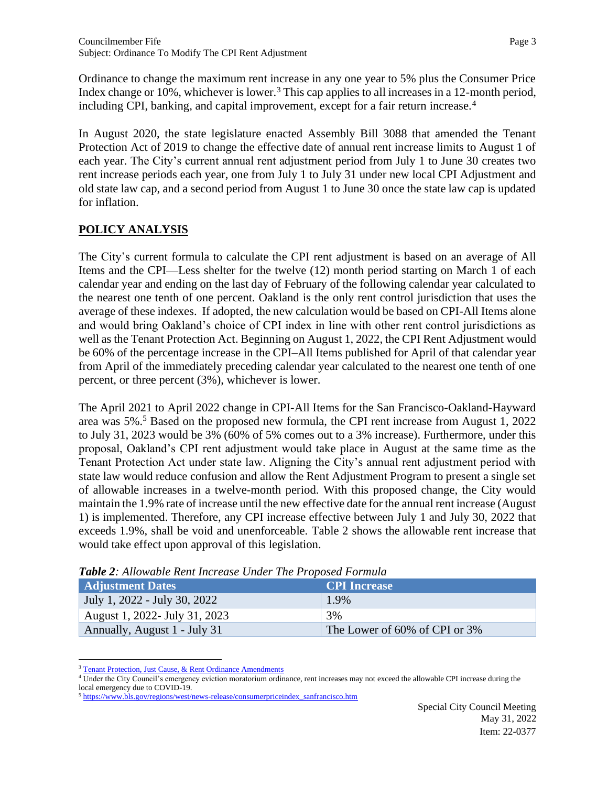Ordinance to change the maximum rent increase in any one year to 5% plus the Consumer Price Index change or 10%, whichever is lower.<sup>3</sup> This cap applies to all increases in a 12-month period, including CPI, banking, and capital improvement, except for a fair return increase.<sup>4</sup>

In August 2020, the state legislature enacted Assembly Bill 3088 that amended the Tenant Protection Act of 2019 to change the effective date of annual rent increase limits to August 1 of each year. The City's current annual rent adjustment period from July 1 to June 30 creates two rent increase periods each year, one from July 1 to July 31 under new local CPI Adjustment and old state law cap, and a second period from August 1 to June 30 once the state law cap is updated for inflation.

# **POLICY ANALYSIS**

The City's current formula to calculate the CPI rent adjustment is based on an average of All Items and the CPI—Less shelter for the twelve (12) month period starting on March 1 of each calendar year and ending on the last day of February of the following calendar year calculated to the nearest one tenth of one percent. Oakland is the only rent control jurisdiction that uses the average of these indexes. If adopted, the new calculation would be based on CPI-All Items alone and would bring Oakland's choice of CPI index in line with other rent control jurisdictions as well as the Tenant Protection Act. Beginning on August 1, 2022, the CPI Rent Adjustment would be 60% of the percentage increase in the CPI–All Items published for April of that calendar year from April of the immediately preceding calendar year calculated to the nearest one tenth of one percent, or three percent (3%), whichever is lower.

The April 2021 to April 2022 change in CPI-All Items for the San Francisco-Oakland-Hayward area was 5%.<sup>5</sup> Based on the proposed new formula, the CPI rent increase from August 1, 2022 to July 31, 2023 would be 3% (60% of 5% comes out to a 3% increase). Furthermore, under this proposal, Oakland's CPI rent adjustment would take place in August at the same time as the Tenant Protection Act under state law. Aligning the City's annual rent adjustment period with state law would reduce confusion and allow the Rent Adjustment Program to present a single set of allowable increases in a twelve-month period. With this proposed change, the City would maintain the 1.9% rate of increase until the new effective date for the annual rent increase (August 1) is implemented. Therefore, any CPI increase effective between July 1 and July 30, 2022 that exceeds 1.9%, shall be void and unenforceable. Table 2 shows the allowable rent increase that would take effect upon approval of this legislation.

| <b>Adjustment Dates</b>       | <b>CPI</b> Increase           |
|-------------------------------|-------------------------------|
| July 1, 2022 - July 30, 2022  | 1.9%                          |
| August 1, 2022- July 31, 2023 | 3%                            |
| Annually, August 1 - July 31  | The Lower of 60% of CPI or 3% |

*Table 2: Allowable Rent Increase Under The Proposed Formula* 

<sup>4</sup> Under the City Council's emergency eviction moratorium ordinance, rent increases may not exceed the allowable CPI increase during the local emergency due to COVID-19.

[Tenant Protection, Just Cause, & Rent Ordinance Amendments](https://oakland.legistar.com/LegislationDetail.aspx?ID=4337091&GUID=523AAAB9-E81F-4282-A5FA-962785507B4A&Options=&Search)

<sup>&</sup>lt;sup>5</sup> [https://www.bls.gov/regions/west/news-release/consumerpriceindex\\_sanfrancisco.htm](https://www.bls.gov/regions/west/news-release/consumerpriceindex_sanfrancisco.htm)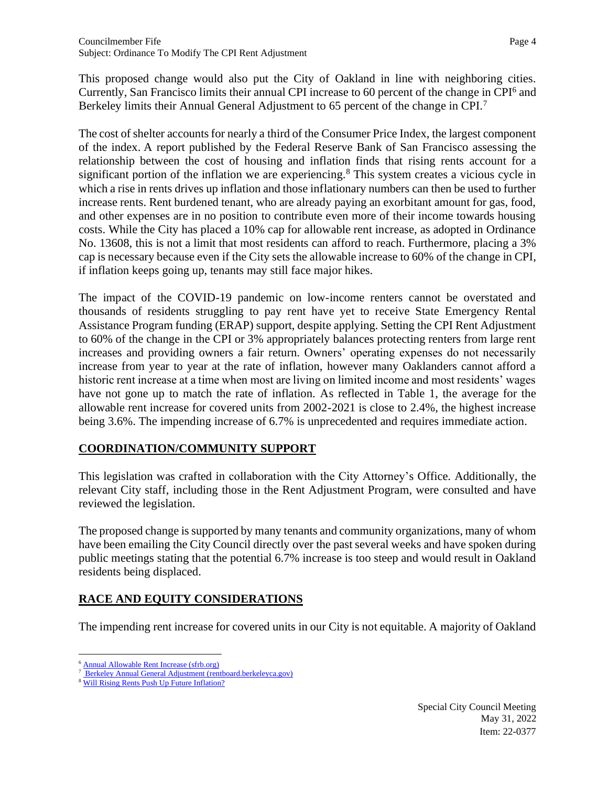This proposed change would also put the City of Oakland in line with neighboring cities. Currently, San Francisco limits their annual CPI increase to 60 percent of the change in CPI<sup>6</sup> and Berkeley limits their Annual General Adjustment to 65 percent of the change in CPI.<sup>7</sup>

The cost of shelter accounts for nearly a third of the Consumer Price Index, the largest component of the index. A report published by the Federal Reserve Bank of San Francisco assessing the relationship between the cost of housing and inflation finds that rising rents account for a significant portion of the inflation we are experiencing.<sup>8</sup> This system creates a vicious cycle in which a rise in rents drives up inflation and those inflationary numbers can then be used to further increase rents. Rent burdened tenant, who are already paying an exorbitant amount for gas, food, and other expenses are in no position to contribute even more of their income towards housing costs. While the City has placed a 10% cap for allowable rent increase, as adopted in Ordinance No. 13608, this is not a limit that most residents can afford to reach. Furthermore, placing a 3% cap is necessary because even if the City sets the allowable increase to 60% of the change in CPI, if inflation keeps going up, tenants may still face major hikes.

The impact of the COVID-19 pandemic on low-income renters cannot be overstated and thousands of residents struggling to pay rent have yet to receive State Emergency Rental Assistance Program funding (ERAP) support, despite applying. Setting the CPI Rent Adjustment to 60% of the change in the CPI or 3% appropriately balances protecting renters from large rent increases and providing owners a fair return. Owners' operating expenses do not necessarily increase from year to year at the rate of inflation, however many Oaklanders cannot afford a historic rent increase at a time when most are living on limited income and most residents' wages have not gone up to match the rate of inflation. As reflected in Table 1, the average for the allowable rent increase for covered units from 2002-2021 is close to 2.4%, the highest increase being 3.6%. The impending increase of 6.7% is unprecedented and requires immediate action.

### **COORDINATION/COMMUNITY SUPPORT**

This legislation was crafted in collaboration with the City Attorney's Office. Additionally, the relevant City staff, including those in the Rent Adjustment Program, were consulted and have reviewed the legislation.

The proposed change is supported by many tenants and community organizations, many of whom have been emailing the City Council directly over the past several weeks and have spoken during public meetings stating that the potential 6.7% increase is too steep and would result in Oakland residents being displaced.

# **RACE AND EQUITY CONSIDERATIONS**

The impending rent increase for covered units in our City is not equitable. A majority of Oakland

[Annual Allowable Rent Increase \(sfrb.org\)](https://sfrb.org/fact-sheet-7-annual-allowable-rent-increases-and-banked-rent-increases#:~:text=A%20landlord%20may%20increase%20the,Consumers%20in%20the%20Bay%20Area)

<sup>7</sup> [Berkeley Annual General Adjustment \(rentboard.berkeleyca.gov\)](https://rentboard.berkeleyca.gov/rights-responsibilities/rent-levels/annual-general-adjustment) 

<sup>&</sup>lt;sup>8</sup> [Will Rising Rents Push Up Future Inflation?](https://www.frbsf.org/economic-research/publications/economic-letter/2022/february/will-rising-rents-push-up-future-inflation/?amp)